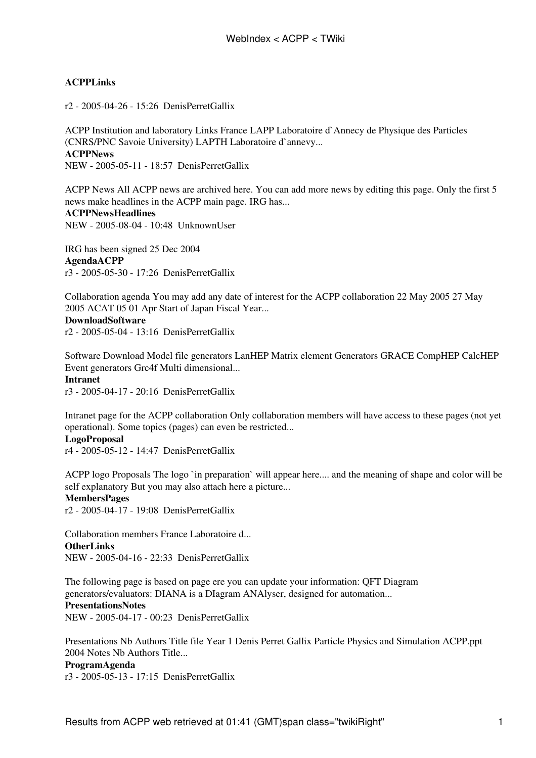# **[ACPPLinks](https://twiki.cern.ch/twiki/bin/view/ACPP/ACPPLinks)**

r2 - [2005-04-26 - 15:26](https://twiki.cern.ch/twiki/bin/rdiff/ACPP/ACPPLinks) [DenisPerretGallix](https://twiki.cern.ch/twiki/bin/view/Main/DenisPerretGallix)

ACPP Institution and laboratory Links France LAPP Laboratoire d`Annecy de Physique des Particles (CNRS/PNC Savoie University) LAPTH Laboratoire d`annevy... **[ACPPNews](https://twiki.cern.ch/twiki/bin/view/ACPP/ACPPNews)** NEW - [2005-05-11 - 18:57](https://twiki.cern.ch/twiki/bin/rdiff/ACPP/ACPPNews) [DenisPerretGallix](https://twiki.cern.ch/twiki/bin/view/Main/DenisPerretGallix)

ACPP News All ACPP news are archived here. You can add more news by editing this page. Only the first 5 news make headlines in the ACPP main page. IRG has... **[ACPPNewsHeadlines](https://twiki.cern.ch/twiki/bin/view/ACPP/ACPPNewsHeadlines)**

NEW - [2005-08-04 - 10:48](https://twiki.cern.ch/twiki/bin/rdiff/ACPP/ACPPNewsHeadlines) [UnknownUser](https://twiki.cern.ch/twiki/bin/view/Main/UnknownUser)

IRG has been signed 25 Dec 2004 **[AgendaACPP](https://twiki.cern.ch/twiki/bin/view/ACPP/AgendaACPP)** r3 - [2005-05-30 - 17:26](https://twiki.cern.ch/twiki/bin/rdiff/ACPP/AgendaACPP) [DenisPerretGallix](https://twiki.cern.ch/twiki/bin/view/Main/DenisPerretGallix)

Collaboration agenda You may add any date of interest for the ACPP collaboration 22 May 2005 27 May 2005 ACAT 05 01 Apr Start of Japan Fiscal Year...

## **[DownloadSoftware](https://twiki.cern.ch/twiki/bin/view/ACPP/DownloadSoftware)**

r2 - [2005-05-04 - 13:16](https://twiki.cern.ch/twiki/bin/rdiff/ACPP/DownloadSoftware) [DenisPerretGallix](https://twiki.cern.ch/twiki/bin/view/Main/DenisPerretGallix)

Software Download Model file generators LanHEP Matrix element Generators GRACE CompHEP CalcHEP Event generators Grc4f Multi dimensional...

# **[Intranet](https://twiki.cern.ch/twiki/bin/view/ACPP/Intranet)**

r3 - [2005-04-17 - 20:16](https://twiki.cern.ch/twiki/bin/rdiff/ACPP/Intranet) [DenisPerretGallix](https://twiki.cern.ch/twiki/bin/view/Main/DenisPerretGallix)

Intranet page for the ACPP collaboration Only collaboration members will have access to these pages (not yet operational). Some topics (pages) can even be restricted... **[LogoProposal](https://twiki.cern.ch/twiki/bin/view/ACPP/LogoProposal)**

r4 - [2005-05-12 - 14:47](https://twiki.cern.ch/twiki/bin/rdiff/ACPP/LogoProposal) [DenisPerretGallix](https://twiki.cern.ch/twiki/bin/view/Main/DenisPerretGallix)

ACPP logo Proposals The logo `in preparation` will appear here.... and the meaning of shape and color will be self explanatory But you may also attach here a picture... **[MembersPages](https://twiki.cern.ch/twiki/bin/view/ACPP/MembersPages)**

r2 - [2005-04-17 - 19:08](https://twiki.cern.ch/twiki/bin/rdiff/ACPP/MembersPages) [DenisPerretGallix](https://twiki.cern.ch/twiki/bin/view/Main/DenisPerretGallix)

Collaboration members France Laboratoire d... **[OtherLinks](https://twiki.cern.ch/twiki/bin/view/ACPP/OtherLinks)** NEW - [2005-04-16 - 22:33](https://twiki.cern.ch/twiki/bin/rdiff/ACPP/OtherLinks) [DenisPerretGallix](https://twiki.cern.ch/twiki/bin/view/Main/DenisPerretGallix)

The following page is based on page ere you can update your information: QFT Diagram generators/evaluators: DIANA is a DIagram ANAlyser, designed for automation... **[PresentationsNotes](https://twiki.cern.ch/twiki/bin/view/ACPP/PresentationsNotes)** NEW - [2005-04-17 - 00:23](https://twiki.cern.ch/twiki/bin/rdiff/ACPP/PresentationsNotes) [DenisPerretGallix](https://twiki.cern.ch/twiki/bin/view/Main/DenisPerretGallix)

Presentations Nb Authors Title file Year 1 Denis Perret Gallix Particle Physics and Simulation ACPP.ppt 2004 Notes Nb Authors Title...

#### **[ProgramAgenda](https://twiki.cern.ch/twiki/bin/view/ACPP/ProgramAgenda)**

r3 - [2005-05-13 - 17:15](https://twiki.cern.ch/twiki/bin/rdiff/ACPP/ProgramAgenda) [DenisPerretGallix](https://twiki.cern.ch/twiki/bin/view/Main/DenisPerretGallix)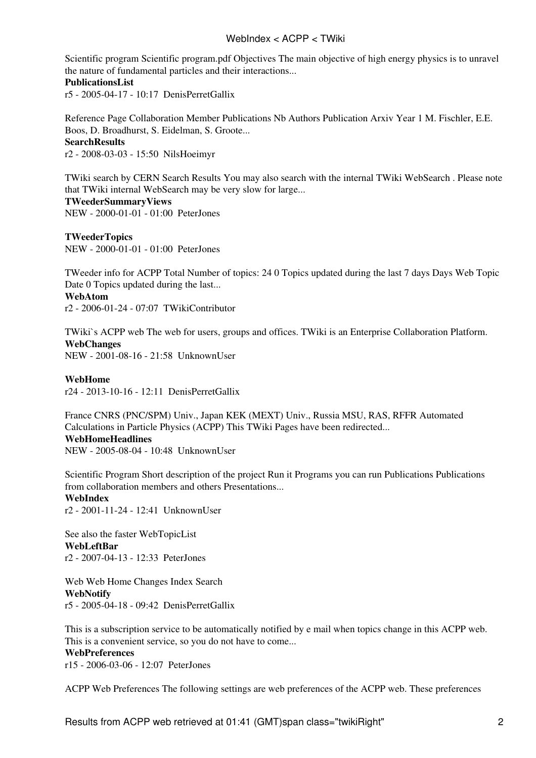## WebIndex < ACPP < TWiki

Scientific program Scientific program.pdf Objectives The main objective of high energy physics is to unravel the nature of fundamental particles and their interactions...

#### **[PublicationsList](https://twiki.cern.ch/twiki/bin/view/ACPP/PublicationsList)**

r5 - [2005-04-17 - 10:17](https://twiki.cern.ch/twiki/bin/rdiff/ACPP/PublicationsList) [DenisPerretGallix](https://twiki.cern.ch/twiki/bin/view/Main/DenisPerretGallix)

Reference Page Collaboration Member Publications Nb Authors Publication Arxiv Year 1 M. Fischler, E.E. Boos, D. Broadhurst, S. Eidelman, S. Groote... **[SearchResults](https://twiki.cern.ch/twiki/bin/view/ACPP/SearchResults)**

r2 - [2008-03-03 - 15:50](https://twiki.cern.ch/twiki/bin/rdiff/ACPP/SearchResults) [NilsHoeimyr](https://twiki.cern.ch/twiki/bin/view/Main/NilsHoeimyr)

TWiki search by CERN Search Results You may also search with the internal TWiki WebSearch . Please note that TWiki internal WebSearch may be very slow for large... **[TWeederSummaryViews](https://twiki.cern.ch/twiki/bin/view/ACPP/TWeederSummaryViews)** NEW - [2000-01-01 - 01:00](https://twiki.cern.ch/twiki/bin/rdiff/ACPP/TWeederSummaryViews) [PeterJones](https://twiki.cern.ch/twiki/bin/view/Main/PeterJones)

**[TWeederTopics](https://twiki.cern.ch/twiki/bin/view/ACPP/TWeederTopics)** NEW - [2000-01-01 - 01:00](https://twiki.cern.ch/twiki/bin/rdiff/ACPP/TWeederTopics) [PeterJones](https://twiki.cern.ch/twiki/bin/view/Main/PeterJones)

TWeeder info for ACPP Total Number of topics: 24 0 Topics updated during the last 7 days Days Web Topic Date 0 Topics updated during the last... **[WebAtom](https://twiki.cern.ch/twiki/bin/view/ACPP/WebAtom)**

r2 - [2006-01-24 - 07:07](https://twiki.cern.ch/twiki/bin/rdiff/ACPP/WebAtom) [TWikiContributor](https://twiki.cern.ch/twiki/bin/view/Main/TWikiContributor)

TWiki`s ACPP web The web for users, groups and offices. TWiki is an Enterprise Collaboration Platform. **[WebChanges](https://twiki.cern.ch/twiki/bin/view/ACPP/WebChanges)** NEW - [2001-08-16 - 21:58](https://twiki.cern.ch/twiki/bin/rdiff/ACPP/WebChanges) [UnknownUser](https://twiki.cern.ch/twiki/bin/view/Main/UnknownUser)

**[WebHome](https://twiki.cern.ch/twiki/bin/view/ACPP/WebHome)**

r24 - [2013-10-16 - 12:11](https://twiki.cern.ch/twiki/bin/rdiff/ACPP/WebHome) [DenisPerretGallix](https://twiki.cern.ch/twiki/bin/view/Main/DenisPerretGallix)

France CNRS (PNC/SPM) Univ., Japan KEK (MEXT) Univ., Russia MSU, RAS, RFFR Automated Calculations in Particle Physics (ACPP) This TWiki Pages have been redirected... **[WebHomeHeadlines](https://twiki.cern.ch/twiki/bin/view/ACPP/WebHomeHeadlines)** NEW - [2005-08-04 - 10:48](https://twiki.cern.ch/twiki/bin/rdiff/ACPP/WebHomeHeadlines) [UnknownUser](https://twiki.cern.ch/twiki/bin/view/Main/UnknownUser)

Scientific Program Short description of the project Run it Programs you can run Publications Publications from collaboration members and others Presentations... **WebIndex**

r2 - [2001-11-24 - 12:41](https://twiki.cern.ch/twiki/bin/rdiff/ACPP/WebIndex) [UnknownUser](https://twiki.cern.ch/twiki/bin/view/Main/UnknownUser)

See also the faster WebTopicList **[WebLeftBar](https://twiki.cern.ch/twiki/bin/view/ACPP/WebLeftBar)** r2 - [2007-04-13 - 12:33](https://twiki.cern.ch/twiki/bin/rdiff/ACPP/WebLeftBar) [PeterJones](https://twiki.cern.ch/twiki/bin/view/Main/PeterJones)

Web Web Home Changes Index Search **[WebNotify](https://twiki.cern.ch/twiki/bin/view/ACPP/WebNotify)** r5 - [2005-04-18 - 09:42](https://twiki.cern.ch/twiki/bin/rdiff/ACPP/WebNotify) [DenisPerretGallix](https://twiki.cern.ch/twiki/bin/view/Main/DenisPerretGallix)

This is a subscription service to be automatically notified by e mail when topics change in this ACPP web. This is a convenient service, so you do not have to come... **[WebPreferences](https://twiki.cern.ch/twiki/bin/view/ACPP/WebPreferences)** r15 - [2006-03-06 - 12:07](https://twiki.cern.ch/twiki/bin/rdiff/ACPP/WebPreferences) [PeterJones](https://twiki.cern.ch/twiki/bin/view/Main/PeterJones)

ACPP Web Preferences The following settings are web preferences of the ACPP web. These preferences

Results from ACPP web retrieved at 01:41 (GMT)span class="twikiRight" 2